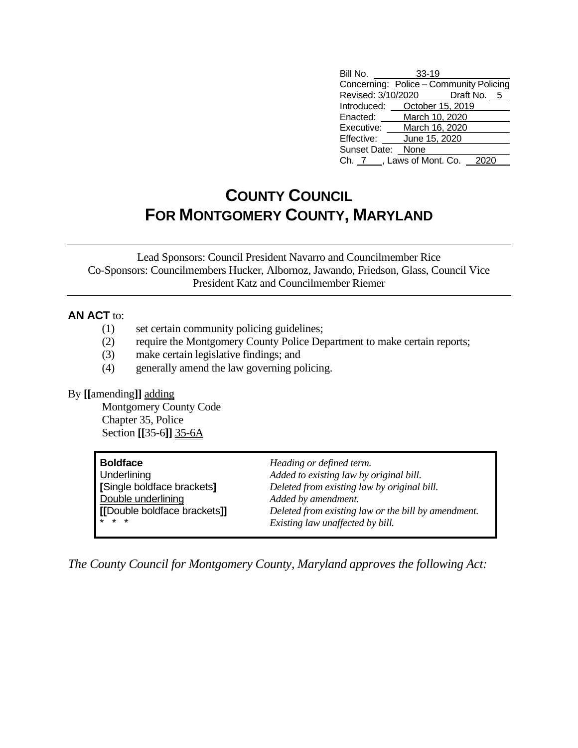| Bill No.          | $33 - 19$                               |
|-------------------|-----------------------------------------|
|                   | Concerning: Police - Community Policing |
|                   | Revised: 3/10/2020    Draft No. 5       |
|                   | Introduced: October 15, 2019            |
| Enacted:          | March 10, 2020                          |
| Executive:        | March 16, 2020                          |
| Effective:        | June 15, 2020                           |
| Sunset Date: None |                                         |
|                   | Ch. 7, Laws of Mont. Co.                |

## **COUNTY COUNCIL FOR MONTGOMERY COUNTY, MARYLAND**

Lead Sponsors: Council President Navarro and Councilmember Rice Co-Sponsors: Councilmembers Hucker, Albornoz, Jawando, Friedson, Glass, Council Vice President Katz and Councilmember Riemer

## **AN ACT** to:

- (1) set certain community policing guidelines;
- (2) require the Montgomery County Police Department to make certain reports;
- (3) make certain legislative findings; and
- (4) generally amend the law governing policing.

## By **[[**amending**]]** adding

Montgomery County Code Chapter 35, Police Section **[[**35-6**]]** 35-6A

| Boldface                       | Heading or defined term.                            |
|--------------------------------|-----------------------------------------------------|
| <b>Underlining</b>             | Added to existing law by original bill.             |
| Single boldface brackets]      | Deleted from existing law by original bill.         |
| Double underlining             | Added by amendment.                                 |
| [[Double boldface brackets]]   | Deleted from existing law or the bill by amendment. |
| $\mathbf{I} \star \star \star$ | Existing law unaffected by bill.                    |

*The County Council for Montgomery County, Maryland approves the following Act:*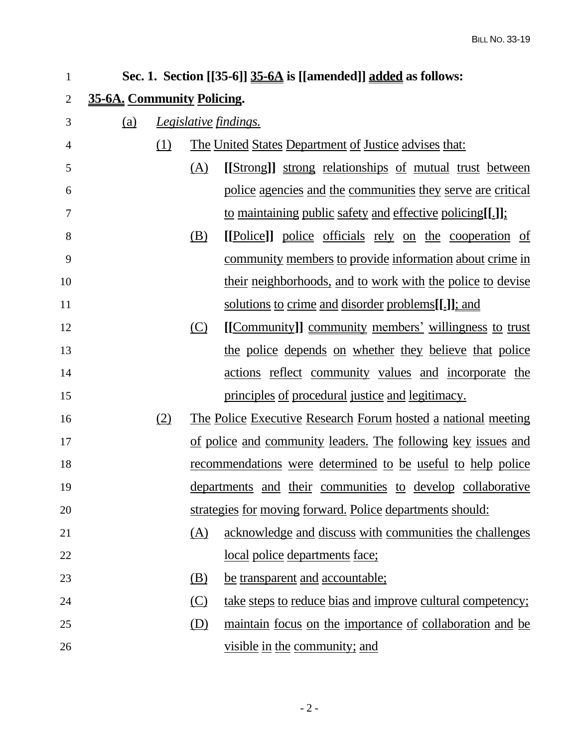| 1              |                            |     |            | Sec. 1. Section $[[35-6]]$ 35-6A is [[amended]] added as follows:    |
|----------------|----------------------------|-----|------------|----------------------------------------------------------------------|
| $\overline{2}$ | 35-6A. Community Policing. |     |            |                                                                      |
| 3              | (a)                        |     |            | <i><u><b>Legislative findings.</b></u></i>                           |
| 4              |                            | (1) |            | <u>The United States Department of Justice advises that:</u>         |
| 5              |                            |     | (A)        | [[Strong]] strong relationships of mutual trust between              |
| 6              |                            |     |            | police agencies and the communities they serve are critical          |
| 7              |                            |     |            | to maintaining public safety and effective policing[[.]].            |
| 8              |                            |     | (B)        | [[Police]] police officials rely on the cooperation of               |
| 9              |                            |     |            | <u>community members to provide information about crime in</u>       |
| 10             |                            |     |            | <u>their neighborhoods, and to work with the police to devise</u>    |
| 11             |                            |     |            | solutions to crime and disorder problems[[.]]; and                   |
| 12             |                            |     | <u>(C)</u> | [[Community]] community members' willingness to trust                |
| 13             |                            |     |            | the police depends on whether they believe that police               |
| 14             |                            |     |            | actions reflect community values and incorporate the                 |
| 15             |                            |     |            | principles of procedural justice and legitimacy.                     |
| 16             |                            | (2) |            | <u>The Police Executive Research Forum hosted a national meeting</u> |
| 17             |                            |     |            | of police and community leaders. The following key issues and        |
| 18             |                            |     |            | <u>recommendations</u> were determined to be useful to help police   |
| 19             |                            |     |            | departments and their communities to develop collaborative           |
| 20             |                            |     |            | strategies for moving forward. Police departments should:            |
| 21             |                            |     | (A)        | acknowledge and discuss with communities the challenges              |
| 22             |                            |     |            | local police departments face;                                       |
| 23             |                            |     | (B)        | be transparent and accountable;                                      |
| 24             |                            |     | (C)        | take steps to reduce bias and improve cultural competency;           |
| 25             |                            |     | <u>(D)</u> | maintain focus on the importance of collaboration and be             |
| 26             |                            |     |            | visible in the community; and                                        |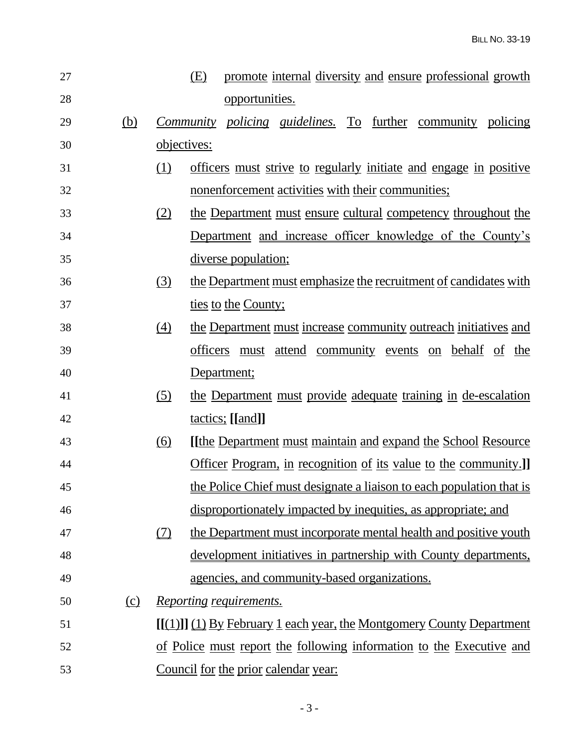| 27 |            |                  | (E)         |                                | promote internal diversity and ensure professional growth                |  |  |  |
|----|------------|------------------|-------------|--------------------------------|--------------------------------------------------------------------------|--|--|--|
| 28 |            |                  |             | opportunities.                 |                                                                          |  |  |  |
| 29 | <u>(b)</u> |                  |             |                                | <i>Community policing guidelines.</i> To further community policing      |  |  |  |
| 30 |            | objectives:      |             |                                |                                                                          |  |  |  |
| 31 |            | (1)              |             |                                | officers must strive to regularly initiate and engage in positive        |  |  |  |
| 32 |            |                  |             |                                | nonenforcement activities with their communities;                        |  |  |  |
| 33 |            | (2)              |             |                                | the Department must ensure cultural competency throughout the            |  |  |  |
| 34 |            |                  |             |                                | Department and increase officer knowledge of the County's                |  |  |  |
| 35 |            |                  |             | <u>diverse population;</u>     |                                                                          |  |  |  |
| 36 |            | <u>(3)</u>       |             |                                | the Department must emphasize the recruitment of candidates with         |  |  |  |
| 37 |            |                  |             | ties to the County;            |                                                                          |  |  |  |
| 38 |            | $\left(4\right)$ |             |                                | the Department must increase community outreach initiatives and          |  |  |  |
| 39 |            |                  |             |                                | <u>officers</u> must attend community events on behalf of the            |  |  |  |
| 40 |            |                  | Department; |                                |                                                                          |  |  |  |
| 41 |            | (5)              |             |                                | the Department must provide adequate training in de-escalation           |  |  |  |
| 42 |            |                  |             | tactics; [[and]]               |                                                                          |  |  |  |
| 43 |            | <u>(6)</u>       |             |                                | <u>I</u> [the Department must maintain and expand the School Resource    |  |  |  |
| 44 |            |                  |             |                                | <b>Officer Program, in recognition of its value to the community.</b>    |  |  |  |
| 45 |            |                  |             |                                | the Police Chief must designate a liaison to each population that is     |  |  |  |
| 46 |            |                  |             |                                | disproportionately impacted by inequities, as appropriate; and           |  |  |  |
| 47 |            | (7)              |             |                                | the Department must incorporate mental health and positive youth         |  |  |  |
| 48 |            |                  |             |                                | development initiatives in partnership with County departments,          |  |  |  |
| 49 |            |                  |             |                                | agencies, and community-based organizations.                             |  |  |  |
| 50 | (c)        |                  |             | <u>Reporting requirements.</u> |                                                                          |  |  |  |
| 51 |            |                  |             |                                | $[[(1)]$ $(1)$ By February 1 each year, the Montgomery County Department |  |  |  |
| 52 |            |                  |             |                                | of Police must report the following information to the Executive and     |  |  |  |
| 53 |            |                  |             |                                | Council for the prior calendar year:                                     |  |  |  |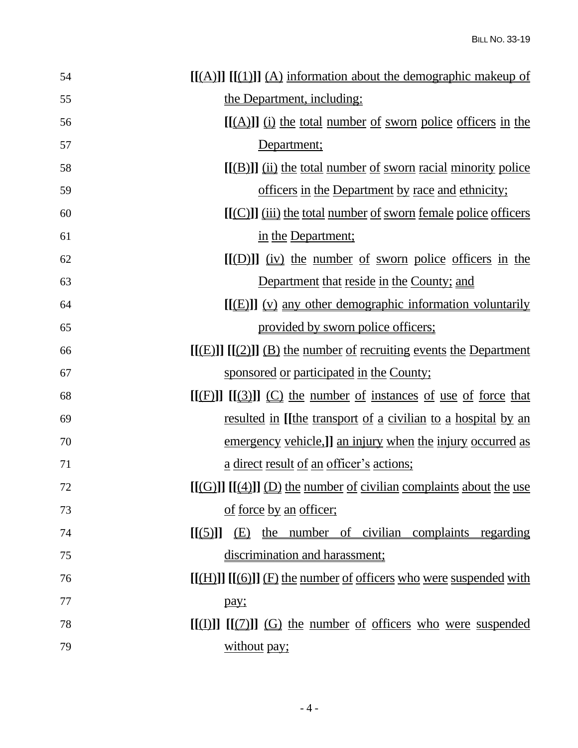| 54 | $[[(A)]] [[(1)]] (A)$ information about the demographic makeup of     |
|----|-----------------------------------------------------------------------|
| 55 | the Department, including:                                            |
| 56 | $[(A)]$ ] (i) the total number of sworn police officers in the        |
| 57 | Department;                                                           |
| 58 | $[(B)]$ $(i)$ the total number of sworn racial minority police        |
| 59 | officers in the Department by race and ethnicity;                     |
| 60 | <u>[[(C)]] (iii) the total number of sworn female police officers</u> |
| 61 | in the Department;                                                    |
| 62 | $[(D)]$ $(iv)$ the number of sworn police officers in the             |
| 63 | Department that reside in the County; and                             |
| 64 | $[[(E)]]$ (v) any other demographic information voluntarily           |
| 65 | provided by sworn police officers;                                    |
| 66 | $[[(E)]] [[(2)]] (B)$ the number of recruiting events the Department  |
| 67 | sponsored or participated in the County;                              |
| 68 | $[(F)$ ] $[(3)]$ $(C)$ the number of instances of use of force that   |
| 69 | <u>resulted in [[the transport of a civilian to a hospital by an</u>  |
| 70 | emergency vehicle,]] an injury when the injury occurred as            |
| 71 | <u>a direct result of an officer's actions;</u>                       |
| 72 | $[(G)]$ $[(4)]$ $(D)$ the number of civilian complaints about the use |
| 73 | of force by an officer;                                               |
| 74 | $[(5)]$ (E) the number of civilian complaints regarding               |
| 75 | discrimination and harassment;                                        |
|    |                                                                       |
| 76 | $[[(H)]] [[(6)]] (F)$ the number of officers who were suspended with  |
| 77 | pay;                                                                  |
| 78 | $[(1)]$ $[(2)]$ $(G)$ the number of officers who were suspended       |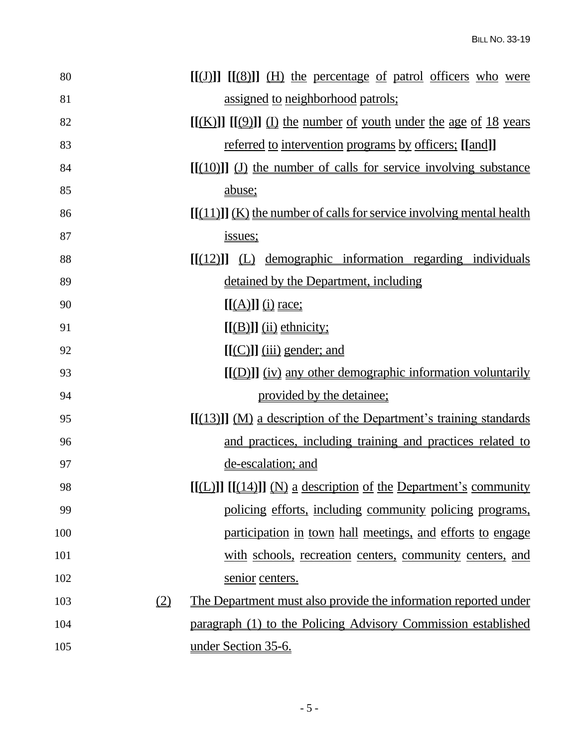| 80  |     | $[[(J)]] [[(8)]] (H)$ the percentage of patrol officers who were      |
|-----|-----|-----------------------------------------------------------------------|
| 81  |     | assigned to neighborhood patrols;                                     |
| 82  |     | $[(K)]$ $[(9)]$ $(1)$ the number of youth under the age of 18 years   |
| 83  |     | <u>referred</u> to intervention programs by officers; [[and]]         |
| 84  |     | $[[(10)]]$ (J) the number of calls for service involving substance    |
| 85  |     | abuse;                                                                |
| 86  |     | $[[(11)]](K)$ the number of calls for service involving mental health |
| 87  |     | issues;                                                               |
| 88  |     | $[(12)]$ (L) demographic information regarding individuals            |
| 89  |     | detained by the Department, including                                 |
| 90  |     | $[(A)]$ (i) race;                                                     |
| 91  |     | $[[(B)]]$ (ii) ethnicity;                                             |
| 92  |     | $[[(C)]]$ $(iii)$ gender; and                                         |
| 93  |     | <u>[[(D)]] (iv) any other demographic information voluntarily</u>     |
| 94  |     | provided by the detainee;                                             |
| 95  |     | $[[(13)]] (M)$ a description of the Department's training standards   |
| 96  |     | and practices, including training and practices related to            |
| 97  |     | de-escalation; and                                                    |
| 98  |     | $[[(L)]] [[(14)]] (N)$ a description of the Department's community    |
| 99  |     | policing efforts, including community policing programs,              |
| 100 |     | participation in town hall meetings, and efforts to engage            |
| 101 |     | with schools, recreation centers, community centers, and              |
| 102 |     | senior centers.                                                       |
| 103 | (2) | The Department must also provide the information reported under       |
| 104 |     | paragraph (1) to the Policing Advisory Commission established         |
| 105 |     | under Section 35-6.                                                   |